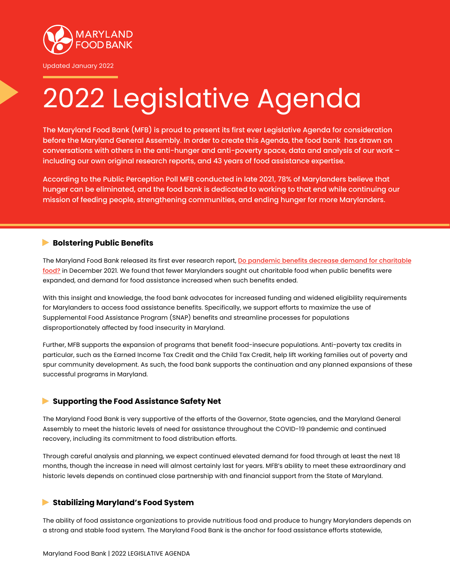

Updated January 2022

# 2022 Legislative Agenda

The Maryland Food Bank (MFB) is proud to present its first ever Legislative Agenda for consideration before the Maryland General Assembly. In order to create this Agenda, the food bank has drawn on conversations with others in the anti-hunger and anti-poverty space, data and analysis of our work – including our own original research reports, and 43 years of food assistance expertise.

According to the Public Perception Poll MFB conducted in late 2021, 78% of Marylanders believe that hunger can be eliminated, and the food bank is dedicated to working to that end while continuing our mission of feeding people, strengthening communities, and ending hunger for more Marylanders.

# **Bolstering Public Benefits**

The Maryland Food Bank released its first ever research report, Do pandemic benefits decrease demand for charitable food? in December 2021. We found that fewer Marylanders sought out charitable food when public benefits were expanded, and demand for food assistance increased when such benefits ended.

With this insight and knowledge, the food bank advocates for increased funding and widened eligibility requirements for Marylanders to access food assistance benefits. Specifically, we support efforts to maximize the use of Supplemental Food Assistance Program (SNAP) benefits and streamline processes for populations disproportionately affected by food insecurity in Maryland.

Further, MFB supports the expansion of programs that benefit food-insecure populations. Anti-poverty tax credits in particular, such as the Earned Income Tax Credit and the Child Tax Credit, help lift working families out of poverty and spur community development. As such, the food bank supports the continuation and any planned expansions of these successful programs in Maryland.

# **Supporting the Food Assistance Safety Net**

The Maryland Food Bank is very supportive of the efforts of the Governor, State agencies, and the Maryland General Assembly to meet the historic levels of need for assistance throughout the COVID-19 pandemic and continued recovery, including its commitment to food distribution efforts.

Through careful analysis and planning, we expect continued elevated demand for food through at least the next 18 months, though the increase in need will almost certainly last for years. MFB's ability to meet these extraordinary and historic levels depends on continued close partnership with and financial support from the State of Maryland.

# **Stabilizing Maryland's Food System**

The ability of food assistance organizations to provide nutritious food and produce to hungry Marylanders depends on a strong and stable food system. The Maryland Food Bank is the anchor for food assistance efforts statewide,